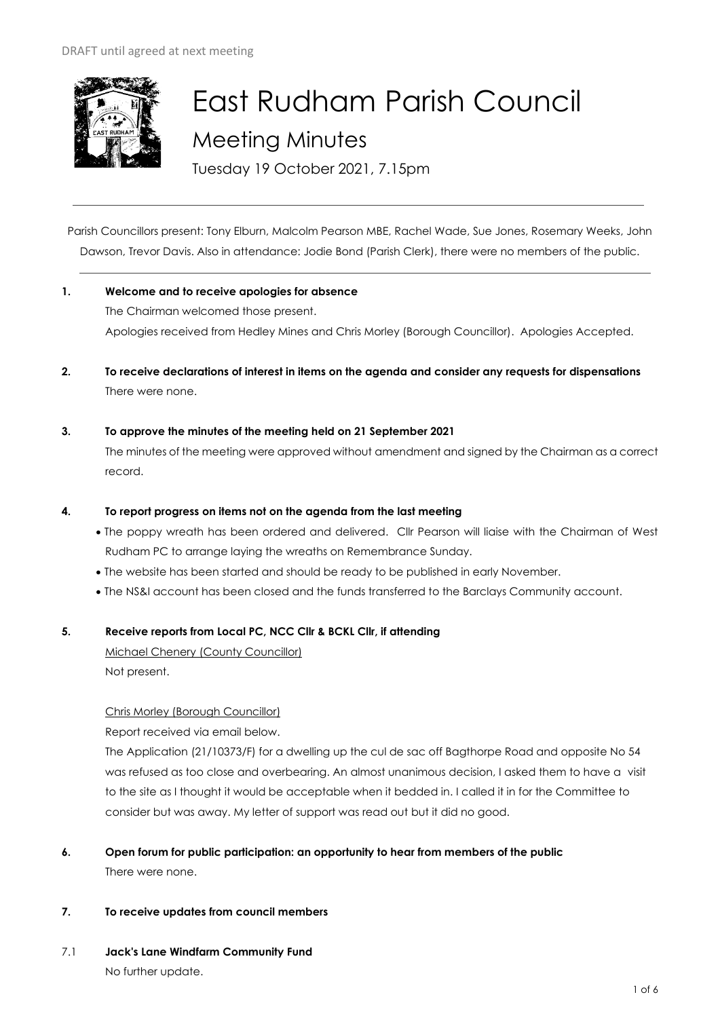

# East Rudham Parish Council Meeting Minutes

Tuesday 19 October 2021, 7.15pm

Parish Councillors present: Tony Elburn, Malcolm Pearson MBE, Rachel Wade, Sue Jones, Rosemary Weeks, John Dawson, Trevor Davis. Also in attendance: Jodie Bond (Parish Clerk), there were no members of the public.

- **1. Welcome and to receive apologies for absence** The Chairman welcomed those present. Apologies received from Hedley Mines and Chris Morley (Borough Councillor). Apologies Accepted.
- **2. To receive declarations of interest in items on the agenda and consider any requests for dispensations**  There were none.
- **3. To approve the minutes of the meeting held on 21 September 2021**

The minutes of the meeting were approved without amendment and signed by the Chairman as a correct record.

## **4. To report progress on items not on the agenda from the last meeting**

- The poppy wreath has been ordered and delivered. Cllr Pearson will liaise with the Chairman of West Rudham PC to arrange laying the wreaths on Remembrance Sunday.
- The website has been started and should be ready to be published in early November.
- The NS&I account has been closed and the funds transferred to the Barclays Community account.

## **5. Receive reports from Local PC, NCC Cllr & BCKL Cllr, if attending**

Michael Chenery (County Councillor) Not present.

## Chris Morley (Borough Councillor)

Report received via email below.

The Application (21/10373/F) for a dwelling up the cul de sac off Bagthorpe Road and opposite No 54 was refused as too close and overbearing. An almost unanimous decision, I asked them to have a visit to the site as I thought it would be acceptable when it bedded in. I called it in for the Committee to consider but was away. My letter of support was read out but it did no good.

- **6. Open forum for public participation: an opportunity to hear from members of the public** There were none.
- **7. To receive updates from council members**
- 7.1 **Jack's Lane Windfarm Community Fund** No further update.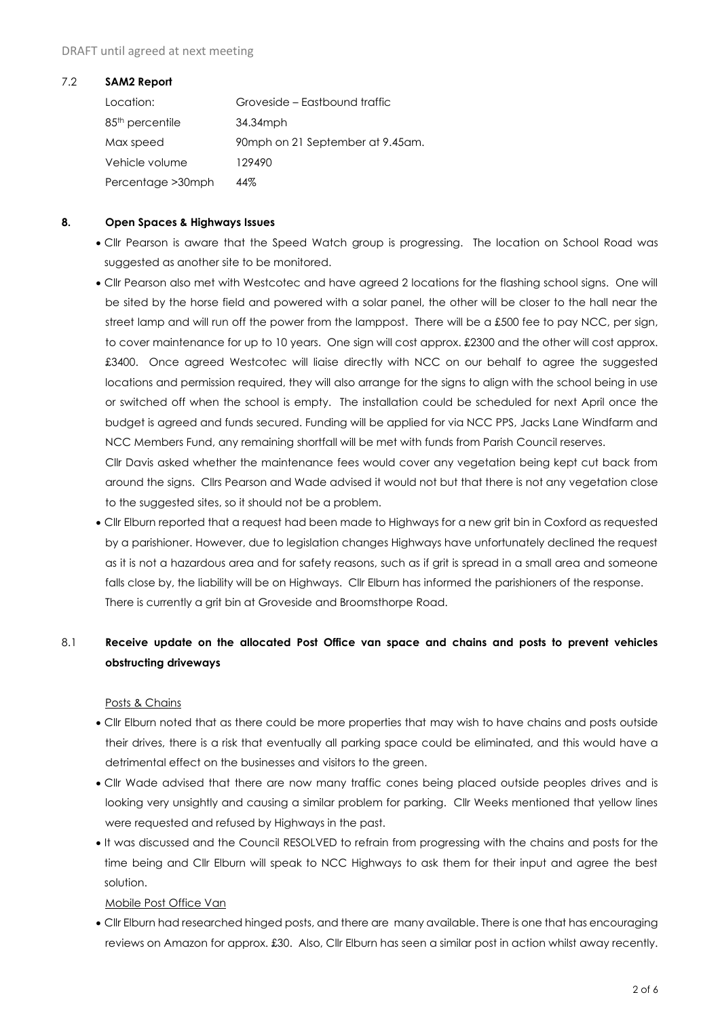#### DRAFT until agreed at next meeting

#### 7.2 **SAM2 Report**

| Location:                   | Groveside – Eastbound traffic    |
|-----------------------------|----------------------------------|
| 85 <sup>th</sup> percentile | 34.34mph                         |
| Max speed                   | 90mph on 21 September at 9.45am. |
| Vehicle volume              | 129490                           |
| Percentage > 30 mph         | 44%                              |

## **8. Open Spaces & Highways Issues**

- Cllr Pearson is aware that the Speed Watch group is progressing. The location on School Road was suggested as another site to be monitored.
- Cllr Pearson also met with Westcotec and have agreed 2 locations for the flashing school signs. One will be sited by the horse field and powered with a solar panel, the other will be closer to the hall near the street lamp and will run off the power from the lamppost. There will be a £500 fee to pay NCC, per sign, to cover maintenance for up to 10 years. One sign will cost approx. £2300 and the other will cost approx. £3400. Once agreed Westcotec will liaise directly with NCC on our behalf to agree the suggested locations and permission required, they will also arrange for the signs to align with the school being in use or switched off when the school is empty. The installation could be scheduled for next April once the budget is agreed and funds secured. Funding will be applied for via NCC PPS, Jacks Lane Windfarm and NCC Members Fund, any remaining shortfall will be met with funds from Parish Council reserves.

Cllr Davis asked whether the maintenance fees would cover any vegetation being kept cut back from around the signs. Cllrs Pearson and Wade advised it would not but that there is not any vegetation close to the suggested sites, so it should not be a problem.

• Cllr Elburn reported that a request had been made to Highways for a new grit bin in Coxford as requested by a parishioner. However, due to legislation changes Highways have unfortunately declined the request as it is not a hazardous area and for safety reasons, such as if grit is spread in a small area and someone falls close by, the liability will be on Highways. Cllr Elburn has informed the parishioners of the response. There is currently a grit bin at Groveside and Broomsthorpe Road.

## 8.1 **Receive update on the allocated Post Office van space and chains and posts to prevent vehicles obstructing driveways**

## Posts & Chains

- Cllr Elburn noted that as there could be more properties that may wish to have chains and posts outside their drives, there is a risk that eventually all parking space could be eliminated, and this would have a detrimental effect on the businesses and visitors to the green.
- Cllr Wade advised that there are now many traffic cones being placed outside peoples drives and is looking very unsightly and causing a similar problem for parking. Cllr Weeks mentioned that yellow lines were requested and refused by Highways in the past.
- It was discussed and the Council RESOLVED to refrain from progressing with the chains and posts for the time being and Cllr Elburn will speak to NCC Highways to ask them for their input and agree the best solution.

## Mobile Post Office Van

• Cllr Elburn had researched hinged posts, and there are many available. There is one that has encouraging reviews on Amazon for approx. £30. Also, Cllr Elburn has seen a similar post in action whilst away recently.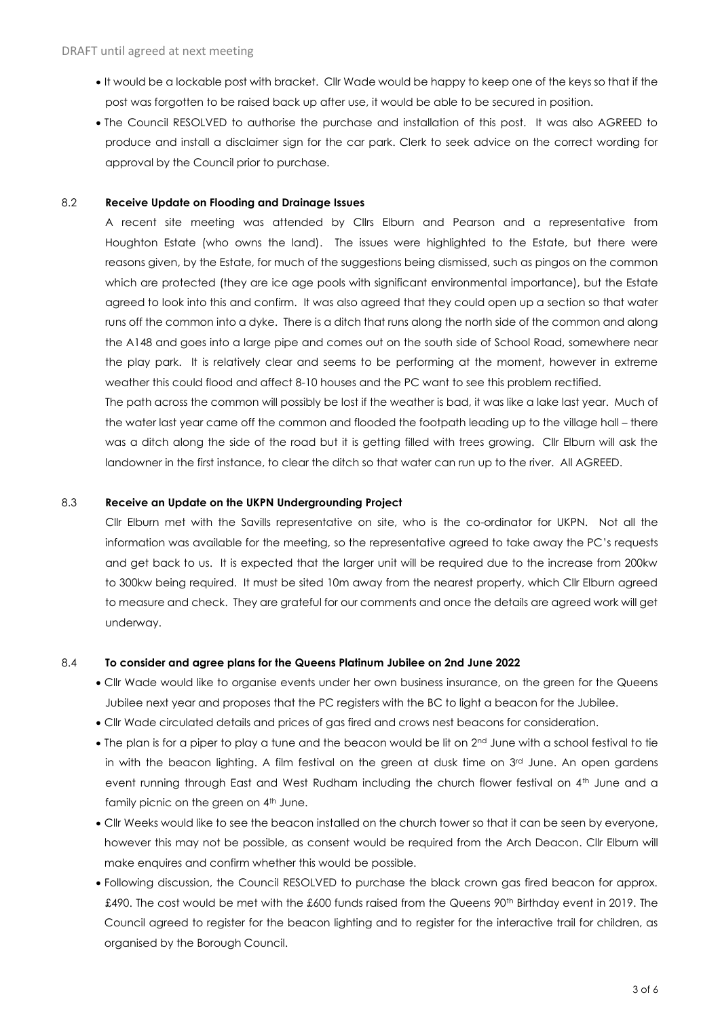- It would be a lockable post with bracket. Cllr Wade would be happy to keep one of the keys so that if the post was forgotten to be raised back up after use, it would be able to be secured in position.
- The Council RESOLVED to authorise the purchase and installation of this post. It was also AGREED to produce and install a disclaimer sign for the car park. Clerk to seek advice on the correct wording for approval by the Council prior to purchase.

#### 8.2 **Receive Update on Flooding and Drainage Issues**

A recent site meeting was attended by Cllrs Elburn and Pearson and a representative from Houghton Estate (who owns the land). The issues were highlighted to the Estate, but there were reasons given, by the Estate, for much of the suggestions being dismissed, such as pingos on the common which are protected (they are ice age pools with significant environmental importance), but the Estate agreed to look into this and confirm. It was also agreed that they could open up a section so that water runs off the common into a dyke. There is a ditch that runs along the north side of the common and along the A148 and goes into a large pipe and comes out on the south side of School Road, somewhere near the play park. It is relatively clear and seems to be performing at the moment, however in extreme weather this could flood and affect 8-10 houses and the PC want to see this problem rectified.

The path across the common will possibly be lost if the weather is bad, it was like a lake last year. Much of the water last year came off the common and flooded the footpath leading up to the village hall – there was a ditch along the side of the road but it is getting filled with trees growing. Cllr Elburn will ask the landowner in the first instance, to clear the ditch so that water can run up to the river. All AGREED.

### 8.3 **Receive an Update on the UKPN Undergrounding Project**

Cllr Elburn met with the Savills representative on site, who is the co-ordinator for UKPN. Not all the information was available for the meeting, so the representative agreed to take away the PC's requests and get back to us. It is expected that the larger unit will be required due to the increase from 200kw to 300kw being required. It must be sited 10m away from the nearest property, which Cllr Elburn agreed to measure and check. They are grateful for our comments and once the details are agreed work will get underway.

#### 8.4 **To consider and agree plans for the Queens Platinum Jubilee on 2nd June 2022**

- Cllr Wade would like to organise events under her own business insurance, on the green for the Queens Jubilee next year and proposes that the PC registers with the BC to light a beacon for the Jubilee.
- Cllr Wade circulated details and prices of gas fired and crows nest beacons for consideration.
- The plan is for a piper to play a tune and the beacon would be lit on 2<sup>nd</sup> June with a school festival to tie in with the beacon lighting. A film festival on the green at dusk time on  $3<sup>rd</sup>$  June. An open gardens event running through East and West Rudham including the church flower festival on 4<sup>th</sup> June and a family picnic on the green on 4<sup>th</sup> June.
- Cllr Weeks would like to see the beacon installed on the church tower so that it can be seen by everyone, however this may not be possible, as consent would be required from the Arch Deacon. Cllr Elburn will make enquires and confirm whether this would be possible.
- Following discussion, the Council RESOLVED to purchase the black crown gas fired beacon for approx. £490. The cost would be met with the £600 funds raised from the Queens 90<sup>th</sup> Birthday event in 2019. The Council agreed to register for the beacon lighting and to register for the interactive trail for children, as organised by the Borough Council.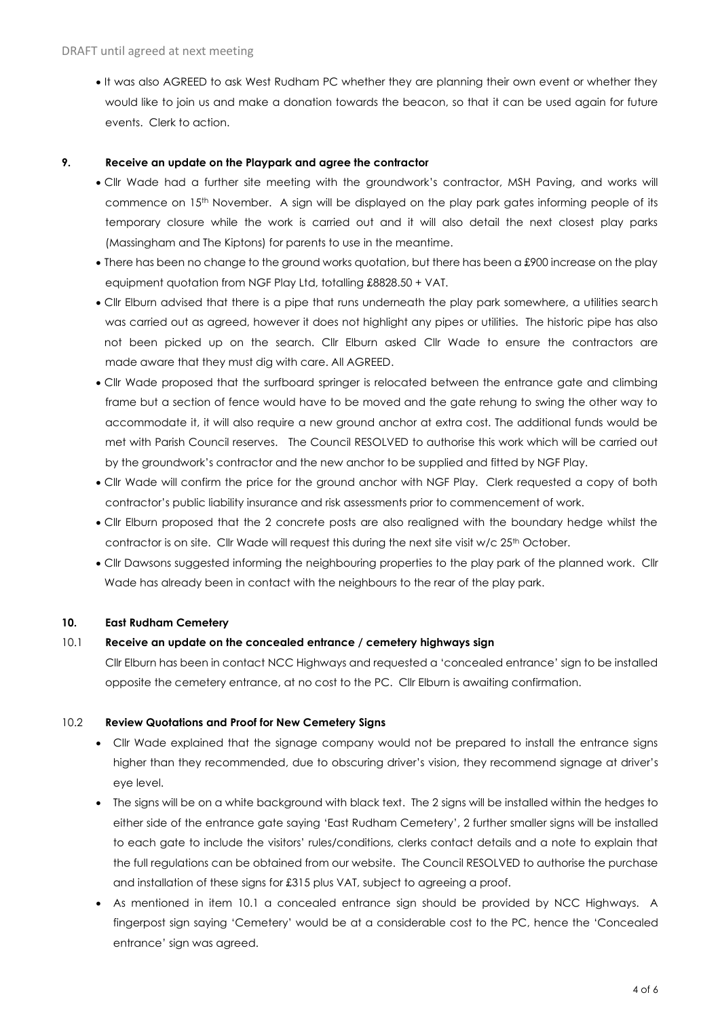• It was also AGREED to ask West Rudham PC whether they are planning their own event or whether they would like to join us and make a donation towards the beacon, so that it can be used again for future events. Clerk to action.

#### **9. Receive an update on the Playpark and agree the contractor**

- Cllr Wade had a further site meeting with the groundwork's contractor, MSH Paving, and works will commence on 15<sup>th</sup> November. A sign will be displayed on the play park gates informing people of its temporary closure while the work is carried out and it will also detail the next closest play parks (Massingham and The Kiptons) for parents to use in the meantime.
- There has been no change to the ground works quotation, but there has been a £900 increase on the play equipment quotation from NGF Play Ltd, totalling £8828.50 + VAT.
- Cllr Elburn advised that there is a pipe that runs underneath the play park somewhere, a utilities search was carried out as agreed, however it does not highlight any pipes or utilities. The historic pipe has also not been picked up on the search. Cllr Elburn asked Cllr Wade to ensure the contractors are made aware that they must dig with care. All AGREED.
- Cllr Wade proposed that the surfboard springer is relocated between the entrance gate and climbing frame but a section of fence would have to be moved and the gate rehung to swing the other way to accommodate it, it will also require a new ground anchor at extra cost. The additional funds would be met with Parish Council reserves. The Council RESOLVED to authorise this work which will be carried out by the groundwork's contractor and the new anchor to be supplied and fitted by NGF Play.
- Cllr Wade will confirm the price for the ground anchor with NGF Play. Clerk requested a copy of both contractor's public liability insurance and risk assessments prior to commencement of work.
- Cllr Elburn proposed that the 2 concrete posts are also realigned with the boundary hedge whilst the contractor is on site. Cllr Wade will request this during the next site visit  $w/c 25<sup>th</sup>$  October.
- Cllr Dawsons suggested informing the neighbouring properties to the play park of the planned work. Cllr Wade has already been in contact with the neighbours to the rear of the play park.

## **10. East Rudham Cemetery**

## 10.1 **Receive an update on the concealed entrance / cemetery highways sign**

Cllr Elburn has been in contact NCC Highways and requested a 'concealed entrance' sign to be installed opposite the cemetery entrance, at no cost to the PC. Cllr Elburn is awaiting confirmation.

#### 10.2 **Review Quotations and Proof for New Cemetery Signs**

- Cllr Wade explained that the signage company would not be prepared to install the entrance signs higher than they recommended, due to obscuring driver's vision, they recommend signage at driver's eye level.
- The signs will be on a white background with black text. The 2 signs will be installed within the hedges to either side of the entrance gate saying 'East Rudham Cemetery', 2 further smaller signs will be installed to each gate to include the visitors' rules/conditions, clerks contact details and a note to explain that the full regulations can be obtained from our website. The Council RESOLVED to authorise the purchase and installation of these signs for £315 plus VAT, subject to agreeing a proof.
- As mentioned in item 10.1 a concealed entrance sign should be provided by NCC Highways. A fingerpost sign saying 'Cemetery' would be at a considerable cost to the PC, hence the 'Concealed entrance' sign was agreed.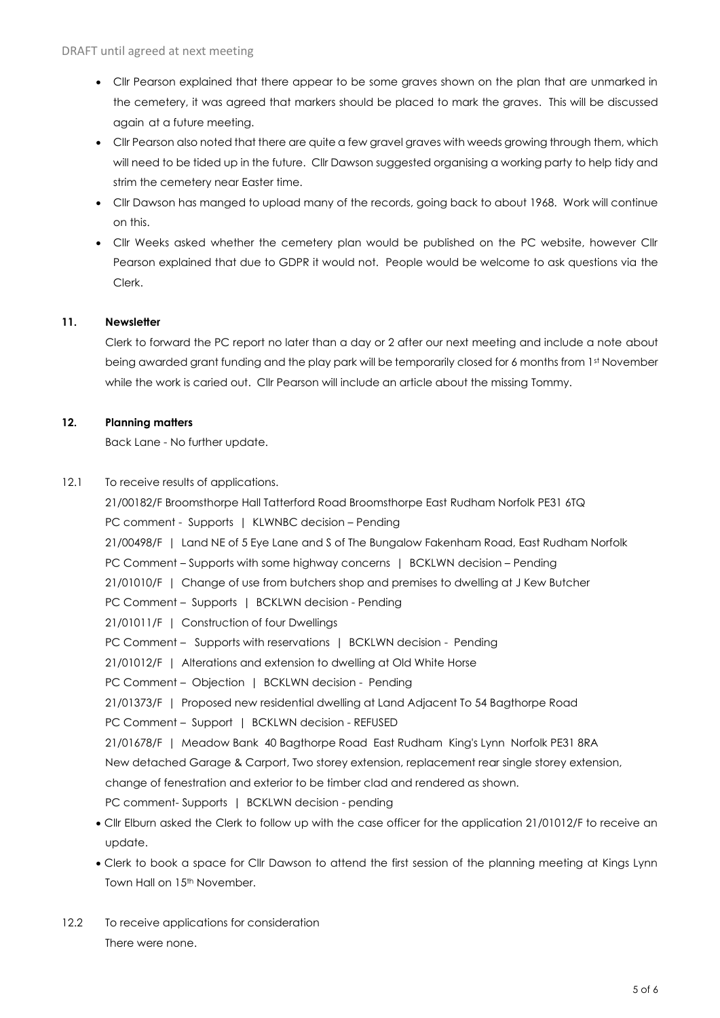- Cllr Pearson explained that there appear to be some graves shown on the plan that are unmarked in the cemetery, it was agreed that markers should be placed to mark the graves. This will be discussed again at a future meeting.
- Cllr Pearson also noted that there are quite a few gravel graves with weeds growing through them, which will need to be tided up in the future. Cllr Dawson suggested organising a working party to help tidy and strim the cemetery near Easter time.
- Cllr Dawson has manged to upload many of the records, going back to about 1968. Work will continue on this.
- Cllr Weeks asked whether the cemetery plan would be published on the PC website, however Cllr Pearson explained that due to GDPR it would not. People would be welcome to ask questions via the Clerk.

## **11. Newsletter**

Clerk to forward the PC report no later than a day or 2 after our next meeting and include a note about being awarded grant funding and the play park will be temporarily closed for 6 months from 1st November while the work is caried out. Cllr Pearson will include an article about the missing Tommy.

## **12. Planning matters**

Back Lane - No further update.

12.1 To receive results of applications.

21/00182/F Broomsthorpe Hall Tatterford Road Broomsthorpe East Rudham Norfolk PE31 6TQ PC comment - Supports | KLWNBC decision – Pending 21/00498/F | Land NE of 5 Eye Lane and S of The Bungalow Fakenham Road, East Rudham Norfolk PC Comment – Supports with some highway concerns | BCKLWN decision – Pending 21/01010/F | Change of use from butchers shop and premises to dwelling at J Kew Butcher PC Comment – Supports | BCKLWN decision - Pending 21/01011/F | Construction of four Dwellings PC Comment – Supports with reservations | BCKLWN decision - Pending 21/01012/F | Alterations and extension to dwelling at Old White Horse PC Comment - Objection | BCKLWN decision - Pending 21/01373/F | Proposed new residential dwelling at Land Adjacent To 54 Bagthorpe Road PC Comment - Support | BCKLWN decision - REFUSED 21/01678/F | Meadow Bank 40 Bagthorpe Road East Rudham King's Lynn Norfolk PE31 8RA New detached Garage & Carport, Two storey extension, replacement rear single storey extension, change of fenestration and exterior to be timber clad and rendered as shown. PC comment- Supports | BCKLWN decision - pending

- Cllr Elburn asked the Clerk to follow up with the case officer for the application 21/01012/F to receive an update.
- Clerk to book a space for Cllr Dawson to attend the first session of the planning meeting at Kings Lynn Town Hall on 15<sup>th</sup> November.
- 12.2 To receive applications for consideration There were none.